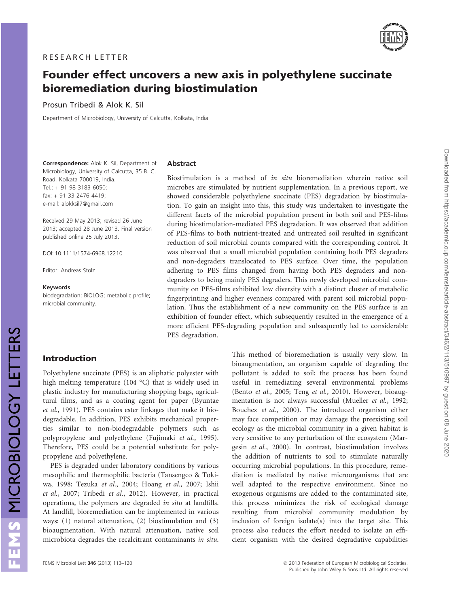

# Founder effect uncovers a new axis in polyethylene succinate bioremediation during biostimulation

Prosun Tribedi & Alok K. Sil

Department of Microbiology, University of Calcutta, Kolkata, India

Correspondence: Alok K. Sil, Department of Microbiology, University of Calcutta, 35 B. C. Road, Kolkata 700019, India. Tel.: + 91 98 3183 6050; fax: + 91 33 2476 4419; e-mail: alokksil7@gmail.com

Received 29 May 2013; revised 26 June 2013; accepted 28 June 2013. Final version published online 25 July 2013.

DOI: 10.1111/1574-6968.12210

Editor: Andreas Stolz

#### Keywords

biodegradation; BiOLOG; metabolic profile; microbial community.

#### Abstract

Biostimulation is a method of in situ bioremediation wherein native soil microbes are stimulated by nutrient supplementation. In a previous report, we showed considerable polyethylene succinate (PES) degradation by biostimulation. To gain an insight into this, this study was undertaken to investigate the different facets of the microbial population present in both soil and PES-films during biostimulation-mediated PES degradation. It was observed that addition of PES-films to both nutrient-treated and untreated soil resulted in significant reduction of soil microbial counts compared with the corresponding control. It was observed that a small microbial population containing both PES degraders and non-degraders translocated to PES surface. Over time, the population adhering to PES films changed from having both PES degraders and nondegraders to being mainly PES degraders. This newly developed microbial community on PES-films exhibited low diversity with a distinct cluster of metabolic fingerprinting and higher evenness compared with parent soil microbial population. Thus the establishment of a new community on the PES surface is an exhibition of founder effect, which subsequently resulted in the emergence of a more efficient PES-degrading population and subsequently led to considerable PES degradation.

## Introduction

MICROBIOLOGY LETTERS

FEMS MICROBIOLOGY LETTERS

Polyethylene succinate (PES) is an aliphatic polyester with high melting temperature (104 °C) that is widely used in plastic industry for manufacturing shopping bags, agricultural films, and as a coating agent for paper (Byuntae et al., 1991). PES contains ester linkages that make it biodegradable. In addition, PES exhibits mechanical properties similar to non-biodegradable polymers such as polypropylene and polyethylene (Fujimaki et al., 1995). Therefore, PES could be a potential substitute for polypropylene and polyethylene.

PES is degraded under laboratory conditions by various mesophilic and thermophilic bacteria (Tansengco & Tokiwa, 1998; Tezuka et al., 2004; Hoang et al., 2007; Ishii et al., 2007; Tribedi et al., 2012). However, in practical operations, the polymers are degraded in situ at landfills. At landfill, bioremediation can be implemented in various ways: (1) natural attenuation, (2) biostimulation and (3) bioaugmentation. With natural attenuation, native soil microbiota degrades the recalcitrant contaminants in situ.

This method of bioremediation is usually very slow. In bioaugmentation, an organism capable of degrading the pollutant is added to soil; the process has been found useful in remediating several environmental problems (Bento et al., 2005; Teng et al., 2010). However, bioaugmentation is not always successful (Mueller et al., 1992; Bouchez et al., 2000). The introduced organism either may face competition or may damage the preexisting soil ecology as the microbial community in a given habitat is very sensitive to any perturbation of the ecosystem (Margesin et al., 2000). In contrast, biostimulation involves the addition of nutrients to soil to stimulate naturally occurring microbial populations. In this procedure, remediation is mediated by native microorganisms that are well adapted to the respective environment. Since no exogenous organisms are added to the contaminated site, this process minimizes the risk of ecological damage resulting from microbial community modulation by inclusion of foreign isolate(s) into the target site. This process also reduces the effort needed to isolate an efficient organism with the desired degradative capabilities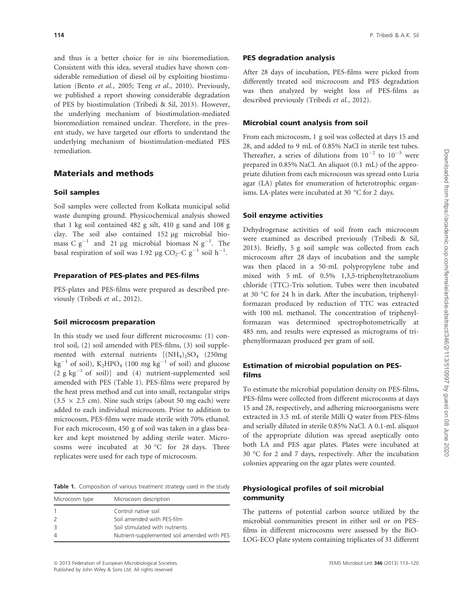and thus is a better choice for in situ bioremediation. Consistent with this idea, several studies have shown considerable remediation of diesel oil by exploiting biostimulation (Bento et al., 2005; Teng et al., 2010). Previously, we published a report showing considerable degradation of PES by biostimulation (Tribedi & Sil, 2013). However, the underlying mechanism of biostimulation-mediated bioremediation remained unclear. Therefore, in the present study, we have targeted our efforts to understand the underlying mechanism of biostimulation-mediated PES remediation.

## Materials and methods

## Soil samples

Soil samples were collected from Kolkata municipal solid waste dumping ground. Physicochemical analysis showed that 1 kg soil contained 482 g silt, 410 g sand and 108 g clay. The soil also contained 152 µg microbial biomass C  $g^{-1}$  and 21 µg microbial biomass N  $g^{-1}$ . The basal respiration of soil was 1.92 µg CO<sub>2</sub>–C g<sup>-1</sup> soil h<sup>-1</sup>.

## Preparation of PES-plates and PES-films

PES-plates and PES-films were prepared as described previously (Tribedi et al., 2012).

#### Soil microcosm preparation

In this study we used four different microcosms: (1) control soil, (2) soil amended with PES-films, (3) soil supplemented with external nutrients  $[(NH_4)_2SO_4 \quad (250mg)$ kg<sup>-1</sup> of soil), K<sub>2</sub>HPO<sub>4</sub> (100 mg kg<sup>-1</sup> of soil) and glucose  $(2 \text{ g kg}^{-1} \text{ of } \text{ soil})]$  and  $(4)$  nutrient-supplemented soil amended with PES (Table 1). PES-films were prepared by the heat press method and cut into small, rectangular strips  $(3.5 \times 2.5 \text{ cm})$ . Nine such strips (about 50 mg each) were added to each individual microcosm. Prior to addition to microcosm, PES-films were made sterile with 70% ethanol. For each microcosm, 450 g of soil was taken in a glass beaker and kept moistened by adding sterile water. Microcosms were incubated at 30 °C for 28 days. Three replicates were used for each type of microcosm.

Table 1. Composition of various treatment strategy used in the study

| Microcosm type | Microcosm description                       |
|----------------|---------------------------------------------|
|                | Control native soil                         |
| $\mathcal{L}$  | Soil amended with PES-film                  |
| 3              | Soil stimulated with nutrients              |
| 4              | Nutrient-supplemented soil amended with PES |

## PES degradation analysis

After 28 days of incubation, PES-films were picked from differently treated soil microcosm and PES degradation was then analyzed by weight loss of PES-films as described previously (Tribedi et al., 2012).

## Microbial count analysis from soil

From each microcosm, 1 g soil was collected at days 15 and 28, and added to 9 mL of 0.85% NaCl in sterile test tubes. Thereafter, a series of dilutions from  $10^{-2}$  to  $10^{-5}$  were prepared in 0.85% NaCl. An aliquot (0.1 mL) of the appropriate dilution from each microcosm was spread onto Luria agar (LA) plates for enumeration of heterotrophic organisms. LA-plates were incubated at 30 °C for 2 days.

## Soil enzyme activities

Dehydrogenase activities of soil from each microcosm were examined as described previously (Tribedi & Sil, 2013). Briefly, 5 g soil sample was collected from each microcosm after 28 days of incubation and the sample was then placed in a 50-mL polypropylene tube and mixed with 5 mL of 0.5% 1,3,5-triphenyltetrazolium chloride (TTC)-Tris solution. Tubes were then incubated at 30 °C for 24 h in dark. After the incubation, triphenylformazan produced by reduction of TTC was extracted with 100 mL methanol. The concentration of triphenylformazan was determined spectrophotometrically at 485 nm, and results were expressed as micrograms of triphenylformazan produced per gram of soil.

## Estimation of microbial population on PESfilms

To estimate the microbial population density on PES-films, PES-films were collected from different microcosms at days 15 and 28, respectively, and adhering microorganisms were extracted in 3.5 mL of sterile Milli Q water from PES-films and serially diluted in sterile 0.85% NaCl. A 0.1-mL aliquot of the appropriate dilution was spread aseptically onto both LA and PES agar plates. Plates were incubated at 30 °C for 2 and 7 days, respectively. After the incubation colonies appearing on the agar plates were counted.

## Physiological profiles of soil microbial community

The patterns of potential carbon source utilized by the microbial communities present in either soil or on PESfilms in different microcosms were assessed by the BiO-LOG-ECO plate system containing triplicates of 31 different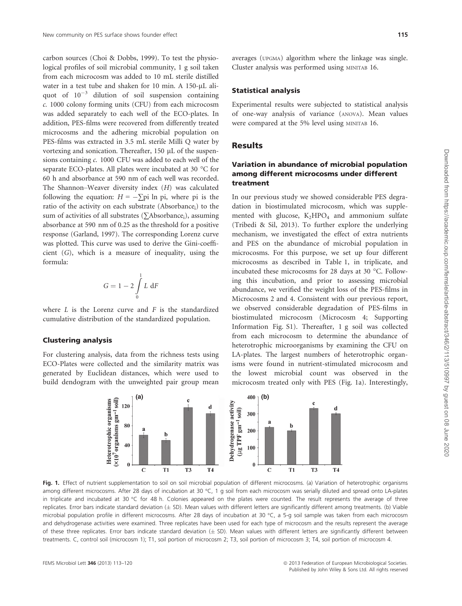carbon sources (Choi & Dobbs, 1999). To test the physiological profiles of soil microbial community, 1 g soil taken from each microcosm was added to 10 mL sterile distilled water in a test tube and shaken for 10 min. A 150-µL aliquot of  $10^{-3}$  dilution of soil suspension containing c. 1000 colony forming units (CFU) from each microcosm was added separately to each well of the ECO-plates. In addition, PES-films were recovered from differently treated microcosms and the adhering microbial population on PES-films was extracted in 3.5 mL sterile Milli Q water by vortexing and sonication. Thereafter, 150 µL of the suspensions containing c. 1000 CFU was added to each well of the separate ECO-plates. All plates were incubated at 30 °C for 60 h and absorbance at 590 nm of each well was recorded. The Shannon–Weaver diversity index (H) was calculated following the equation:  $H = -\sum \pi p i \ln \pi p i$ , where  $\pi p i$  is the ratio of the activity on each substrate (Absorbance;) to the sum of activities of all substrates ( $\sum$ Absorbance<sub>i</sub>), assuming absorbance at 590 nm of 0.25 as the threshold for a positive response (Garland, 1997). The corresponding Lorenz curve was plotted. This curve was used to derive the Gini-coefficient (G), which is a measure of inequality, using the formula:

$$
G = 1 - 2 \int\limits_0^1 L \, \mathrm{d}F
$$

where  $L$  is the Lorenz curve and  $F$  is the standardized cumulative distribution of the standardized population.

#### Clustering analysis

For clustering analysis, data from the richness tests using ECO-Plates were collected and the similarity matrix was generated by Euclidean distances, which were used to build dendogram with the unweighted pair group mean

averages (UPGMA) algorithm where the linkage was single. Cluster analysis was performed using MINITAB 16.

#### Statistical analysis

Experimental results were subjected to statistical analysis of one-way analysis of variance (ANOVA). Mean values were compared at the 5% level using MINITAB 16.

## Results

## Variation in abundance of microbial population among different microcosms under different treatment

In our previous study we showed considerable PES degradation in biostimulated microcosm, which was supplemented with glucose,  $K_2HPO_4$  and ammonium sulfate (Tribedi & Sil, 2013). To further explore the underlying mechanism, we investigated the effect of extra nutrients and PES on the abundance of microbial population in microcosms. For this purpose, we set up four different microcosms as described in Table 1, in triplicate, and incubated these microcosms for 28 days at 30 °C. Following this incubation, and prior to assessing microbial abundance, we verified the weight loss of the PES-films in Microcosms 2 and 4. Consistent with our previous report, we observed considerable degradation of PES-films in biostimulated microcosm (Microcosm 4; Supporting Information Fig. S1). Thereafter, 1 g soil was collected from each microcosm to determine the abundance of heterotrophic microorganisms by examining the CFU on LA-plates. The largest numbers of heterotrophic organisms were found in nutrient-stimulated microcosm and the lowest microbial count was observed in the microcosm treated only with PES (Fig. 1a). Interestingly,



Fig. 1. Effect of nutrient supplementation to soil on soil microbial population of different microcosms. (a) Variation of heterotrophic organisms among different microcosms. After 28 days of incubation at 30 °C, 1 g soil from each microcosm was serially diluted and spread onto LA-plates in triplicate and incubated at 30 °C for 48 h. Colonies appeared on the plates were counted. The result represents the average of three replicates. Error bars indicate standard deviation  $(\pm$  SD). Mean values with different letters are significantly different among treatments. (b) Viable microbial population profile in different microcosms. After 28 days of incubation at 30 °C, a 5-g soil sample was taken from each microcosm and dehydrogenase activities were examined. Three replicates have been used for each type of microcosm and the results represent the average of these three replicates. Error bars indicate standard deviation  $(\pm$  SD). Mean values with different letters are significantly different between treatments. C, control soil (microcosm 1); T1, soil portion of microcosm 2; T3, soil portion of microcosm 3; T4, soil portion of microcosm 4.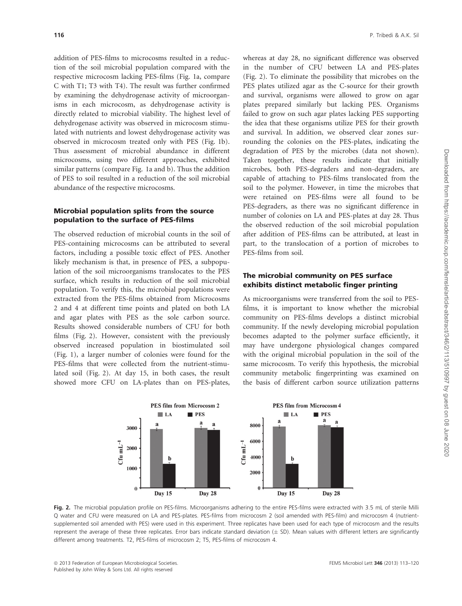addition of PES-films to microcosms resulted in a reduction of the soil microbial population compared with the respective microcosm lacking PES-films (Fig. 1a, compare C with T1; T3 with T4). The result was further confirmed by examining the dehydrogenase activity of microorganisms in each microcosm, as dehydrogenase activity is directly related to microbial viability. The highest level of dehydrogenase activity was observed in microcosm stimulated with nutrients and lowest dehydrogenase activity was observed in microcosm treated only with PES (Fig. 1b). Thus assessment of microbial abundance in different microcosms, using two different approaches, exhibited similar patterns (compare Fig. 1a and b). Thus the addition of PES to soil resulted in a reduction of the soil microbial abundance of the respective microcosms.

#### Microbial population splits from the source population to the surface of PES-films

The observed reduction of microbial counts in the soil of PES-containing microcosms can be attributed to several factors, including a possible toxic effect of PES. Another likely mechanism is that, in presence of PES, a subpopulation of the soil microorganisms translocates to the PES surface, which results in reduction of the soil microbial population. To verify this, the microbial populations were extracted from the PES-films obtained from Microcosms 2 and 4 at different time points and plated on both LA and agar plates with PES as the sole carbon source. Results showed considerable numbers of CFU for both films (Fig. 2). However, consistent with the previously observed increased population in biostimulated soil (Fig. 1), a larger number of colonies were found for the PES-films that were collected from the nutrient-stimulated soil (Fig. 2). At day 15, in both cases, the result showed more CFU on LA-plates than on PES-plates,

whereas at day 28, no significant difference was observed in the number of CFU between LA and PES-plates (Fig. 2). To eliminate the possibility that microbes on the PES plates utilized agar as the C-source for their growth and survival, organisms were allowed to grow on agar plates prepared similarly but lacking PES. Organisms failed to grow on such agar plates lacking PES supporting the idea that these organisms utilize PES for their growth and survival. In addition, we observed clear zones surrounding the colonies on the PES-plates, indicating the degradation of PES by the microbes (data not shown). Taken together, these results indicate that initially microbes, both PES-degraders and non-degraders, are capable of attaching to PES-films translocated from the soil to the polymer. However, in time the microbes that were retained on PES-films were all found to be PES-degraders, as there was no significant difference in number of colonies on LA and PES-plates at day 28. Thus the observed reduction of the soil microbial population after addition of PES-films can be attributed, at least in part, to the translocation of a portion of microbes to PES-films from soil.

## The microbial community on PES surface exhibits distinct metabolic finger printing

As microorganisms were transferred from the soil to PESfilms, it is important to know whether the microbial community on PES-films develops a distinct microbial community. If the newly developing microbial population becomes adapted to the polymer surface efficiently, it may have undergone physiological changes compared with the original microbial population in the soil of the same microcosm. To verify this hypothesis, the microbial community metabolic fingerprinting was examined on the basis of different carbon source utilization patterns



Fig. 2. The microbial population profile on PES-films. Microorganisms adhering to the entire PES-films were extracted with 3.5 mL of sterile Milli Q water and CFU were measured on LA and PES-plates. PES-films from microcosm 2 (soil amended with PES-film) and microcosm 4 (nutrientsupplemented soil amended with PES) were used in this experiment. Three replicates have been used for each type of microcosm and the results represent the average of these three replicates. Error bars indicate standard deviation  $(\pm$  SD). Mean values with different letters are significantly different among treatments. T2, PES-films of microcosm 2; T5, PES-films of microcosm 4.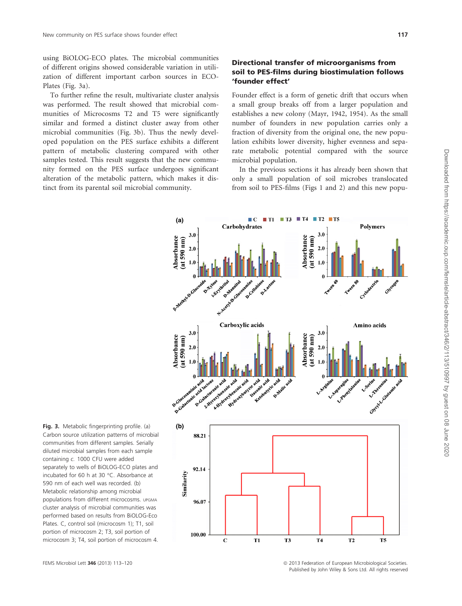using BiOLOG-ECO plates. The microbial communities of different origins showed considerable variation in utilization of different important carbon sources in ECO-Plates (Fig. 3a).

To further refine the result, multivariate cluster analysis was performed. The result showed that microbial communities of Microcosms T2 and T5 were significantly similar and formed a distinct cluster away from other microbial communities (Fig. 3b). Thus the newly developed population on the PES surface exhibits a different pattern of metabolic clustering compared with other samples tested. This result suggests that the new community formed on the PES surface undergoes significant alteration of the metabolic pattern, which makes it distinct from its parental soil microbial community.

## Directional transfer of microorganisms from soil to PES-films during biostimulation follows 'founder effect'

Founder effect is a form of genetic drift that occurs when a small group breaks off from a larger population and establishes a new colony (Mayr, 1942, 1954). As the small number of founders in new population carries only a fraction of diversity from the original one, the new population exhibits lower diversity, higher evenness and separate metabolic potential compared with the source microbial population.

In the previous sections it has already been shown that only a small population of soil microbes translocated from soil to PES-films (Figs 1 and 2) and this new popu-



Fig. 3. Metabolic fingerprinting profile. (a) **(b)** Carbon source utilization patterns of microbial communities from different samples. Serially diluted microbial samples from each sample containing c. 1000 CFU were added separately to wells of BiOLOG-ECO plates and incubated for 60 h at 30 °C. Absorbance at 590 nm of each well was recorded. (b) Metabolic relationship among microbial populations from different microcosms. UPGMA cluster analysis of microbial communities was performed based on results from BiOLOG-Eco Plates. C, control soil (microcosm 1); T1, soil portion of microcosm 2; T3, soil portion of microcosm 3; T4, soil portion of microcosm 4.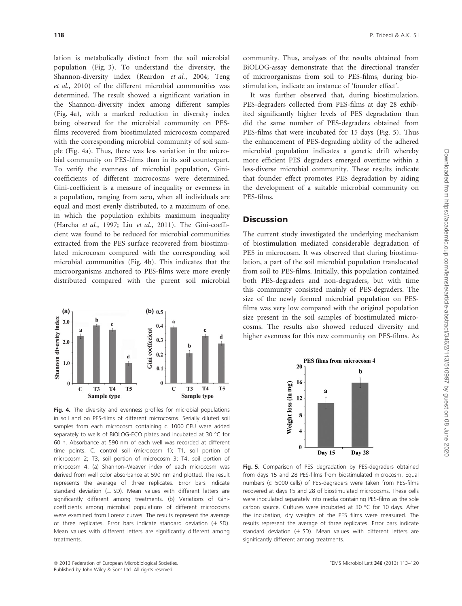lation is metabolically distinct from the soil microbial population (Fig. 3). To understand the diversity, the Shannon-diversity index (Reardon et al., 2004; Teng et al., 2010) of the different microbial communities was determined. The result showed a significant variation in the Shannon-diversity index among different samples (Fig. 4a), with a marked reduction in diversity index being observed for the microbial community on PESfilms recovered from biostimulated microcosm compared with the corresponding microbial community of soil sample (Fig. 4a). Thus, there was less variation in the microbial community on PES-films than in its soil counterpart. To verify the evenness of microbial population, Ginicoefficients of different microcosms were determined. Gini-coefficient is a measure of inequality or evenness in a population, ranging from zero, when all individuals are equal and most evenly distributed, to a maximum of one, in which the population exhibits maximum inequality (Harcha et al., 1997; Liu et al., 2011). The Gini-coefficient was found to be reduced for microbial communities extracted from the PES surface recovered from biostimulated microcosm compared with the corresponding soil microbial communities (Fig. 4b). This indicates that the microorganisms anchored to PES-films were more evenly distributed compared with the parent soil microbial



Fig. 4. The diversity and evenness profiles for microbial populations in soil and on PES-films of different microcosms. Serially diluted soil samples from each microcosm containing c. 1000 CFU were added separately to wells of BiOLOG-ECO plates and incubated at 30 °C for 60 h. Absorbance at 590 nm of each well was recorded at different time points. C, control soil (microcosm 1); T1, soil portion of microcosm 2; T3, soil portion of microcosm 3; T4, soil portion of microcosm 4. (a) Shannon–Weaver index of each microcosm was derived from well color absorbance at 590 nm and plotted. The result represents the average of three replicates. Error bars indicate standard deviation ( $\pm$  SD). Mean values with different letters are significantly different among treatments. (b) Variations of Ginicoefficients among microbial populations of different microcosms were examined from Lorenz curves. The results represent the average of three replicates. Error bars indicate standard deviation  $(\pm$  SD). Mean values with different letters are significantly different among treatments.

community. Thus, analyses of the results obtained from BiOLOG-assay demonstrate that the directional transfer of microorganisms from soil to PES-films, during biostimulation, indicate an instance of 'founder effect'.

It was further observed that, during biostimulation, PES-degraders collected from PES-films at day 28 exhibited significantly higher levels of PES degradation than did the same number of PES-degraders obtained from PES-films that were incubated for 15 days (Fig. 5). Thus the enhancement of PES-degrading ability of the adhered microbial population indicates a genetic drift whereby more efficient PES degraders emerged overtime within a less-diverse microbial community. These results indicate that founder effect promotes PES degradation by aiding the development of a suitable microbial community on PES-films.

## **Discussion**

The current study investigated the underlying mechanism of biostimulation mediated considerable degradation of PES in microcosm. It was observed that during biostimulation, a part of the soil microbial population translocated from soil to PES-films. Initially, this population contained both PES-degraders and non-degraders, but with time this community consisted mainly of PES-degraders. The size of the newly formed microbial population on PESfilms was very low compared with the original population size present in the soil samples of biostimulated microcosms. The results also showed reduced diversity and higher evenness for this new community on PES-films. As



Fig. 5. Comparison of PES degradation by PES-degraders obtained from days 15 and 28 PES-films from biostimulated microcosm. Equal numbers (c. 5000 cells) of PES-degraders were taken from PES-films recovered at days 15 and 28 of biostimulated microcosms. These cells were inoculated separately into media containing PES-films as the sole carbon source. Cultures were incubated at 30 °C for 10 days. After the incubation, dry weights of the PES films were measured. The results represent the average of three replicates. Error bars indicate standard deviation ( $\pm$  SD). Mean values with different letters are significantly different among treatments.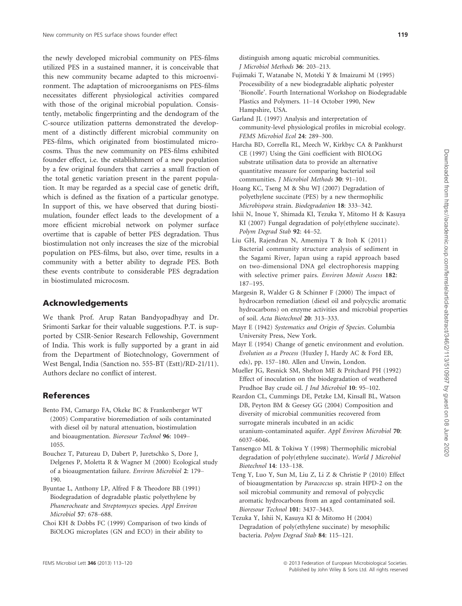the newly developed microbial community on PES-films utilized PES in a sustained manner, it is conceivable that this new community became adapted to this microenvironment. The adaptation of microorganisms on PES-films necessitates different physiological activities compared with those of the original microbial population. Consistently, metabolic fingerprinting and the dendogram of the C-source utilization patterns demonstrated the development of a distinctly different microbial community on PES-films, which originated from biostimulated microcosms. Thus the new community on PES-films exhibited founder effect, i.e. the establishment of a new population by a few original founders that carries a small fraction of the total genetic variation present in the parent population. It may be regarded as a special case of genetic drift, which is defined as the fixation of a particular genotype. In support of this, we have observed that during biostimulation, founder effect leads to the development of a more efficient microbial network on polymer surface overtime that is capable of better PES degradation. Thus biostimulation not only increases the size of the microbial population on PES-films, but also, over time, results in a community with a better ability to degrade PES. Both these events contribute to considerable PES degradation in biostimulated microcosm.

## Acknowledgements

We thank Prof. Arup Ratan Bandyopadhyay and Dr. Srimonti Sarkar for their valuable suggestions. P.T. is supported by CSIR-Senior Research Fellowship, Government of India. This work is fully supported by a grant in aid from the Department of Biotechnology, Government of West Bengal, India (Sanction no. 555-BT (Estt)/RD-21/11). Authors declare no conflict of interest.

## References

- Bento FM, Camargo FA, Okeke BC & Frankenberger WT (2005) Comparative bioremediation of soils contaminated with diesel oil by natural attenuation, biostimulation and bioaugmentation. Bioresour Technol 96: 1049– 1055.
- Bouchez T, Patureau D, Dabert P, Juretschko S, Dore J, Delgenes P, Moletta R & Wagner M (2000) Ecological study of a bioaugmentation failure. Environ Microbiol 2: 179– 190.
- Byuntae L, Anthony LP, Alfred F & Theodore BB (1991) Biodegradation of degradable plastic polyethylene by Phanerocheate and Streptomyces species. Appl Environ Microbiol 57: 678–688.
- Choi KH & Dobbs FC (1999) Comparison of two kinds of BiOLOG microplates (GN and ECO) in their ability to

distinguish among aquatic microbial communities. J Microbiol Methods 36: 203–213.

- Fujimaki T, Watanabe N, Moteki Y & Imaizumi M (1995) Processibility of a new biodegradable aliphatic polyester 'Bionolle'. Fourth International Workshop on Biodegradable Plastics and Polymers. 11–14 October 1990, New Hampshire, USA.
- Garland JL (1997) Analysis and interpretation of community-level physiological profiles in microbial ecology. FEMS Microbiol Ecol 24: 289–300.
- Harcha BD, Corrella RL, Meech W, Kirkbyc CA & Pankhurst CE (1997) Using the Gini coefficient with BIOLOG substrate utilisation data to provide an alternative quantitative measure for comparing bacterial soil communities. J Microbiol Methods 30: 91–101.
- Hoang KC, Tseng M & Shu WJ (2007) Degradation of polyethylene succinate (PES) by a new thermophilic Microbispora strain. Biodegradation 18: 333–342.
- Ishii N, Inoue Y, Shimada KI, Tezuka Y, Mitomo H & Kasuya KI (2007) Fungal degradation of poly(ethylene succinate). Polym Degrad Stab 92: 44–52.
- Liu GH, Rajendran N, Amemiya T & Itoh K (2011) Bacterial community structure analysis of sediment in the Sagami River, Japan using a rapid approach based on two-dimensional DNA gel electrophoresis mapping with selective primer pairs. Environ Monit Assess 182: 187–195.
- Margesin R, Walder G & Schinner F (2000) The impact of hydrocarbon remediation (diesel oil and polycyclic aromatic hydrocarbons) on enzyme activities and microbial properties of soil. Acta Biotechnol 20: 313–333.
- Mayr E (1942) Systematics and Origin of Species. Columbia University Press, New York.
- Mayr E (1954) Change of genetic environment and evolution. Evolution as a Process (Huxley J, Hardy AC & Ford EB, eds), pp. 157–180. Allen and Unwin, London.
- Mueller JG, Resnick SM, Shelton ME & Pritchard PH (1992) Effect of inoculation on the biodegradation of weathered Prudhoe Bay crude oil. J Ind Microbiol 10: 95–102.
- Reardon CL, Cummings DE, Petzke LM, Kinsall BL, Watson DB, Peyton BM & Geesey GG (2004) Composition and diversity of microbial communities recovered from surrogate minerals incubated in an acidic uranium-contaminated aquifer. Appl Environ Microbiol 70: 6037–6046.
- Tansengco ML & Tokiwa Y (1998) Thermophilic microbial degradation of poly(ethylene succinate). World J Microbiol Biotechnol 14: 133–138.
- Teng Y, Luo Y, Sun M, Liu Z, Li Z & Christie P (2010) Effect of bioaugmentation by Paracoccus sp. strain HPD-2 on the soil microbial community and removal of polycyclic aromatic hydrocarbons from an aged contaminated soil. Bioresour Technol 101: 3437–3443.
- Tezuka Y, Ishii N, Kasuya KI & Mitomo H (2004) Degradation of poly(ethylene succinate) by mesophilic bacteria. Polym Degrad Stab 84: 115–121.